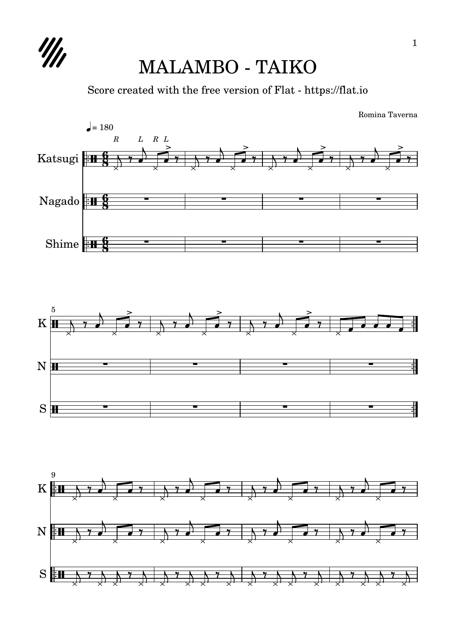

## MALAMBO - TAIKO

Score created with the free version of Flat - https://flat.io





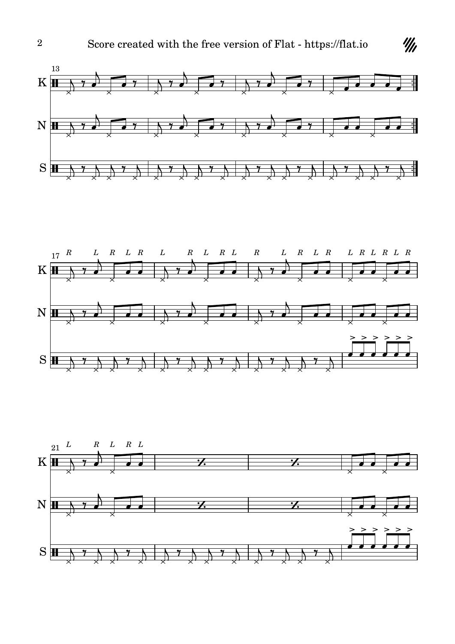



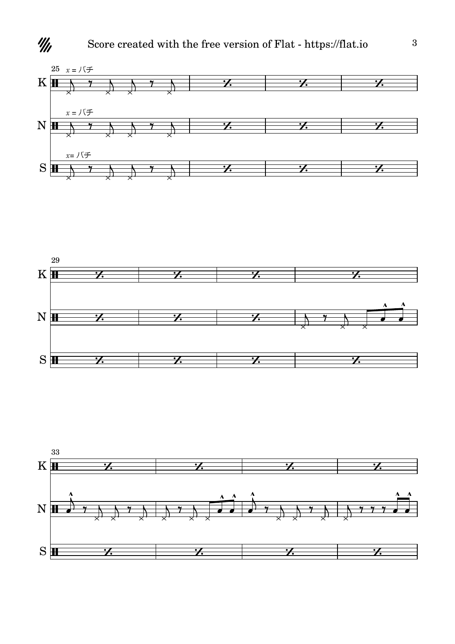



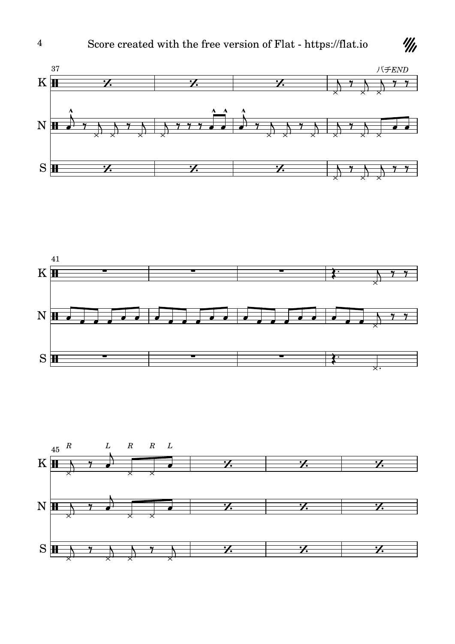





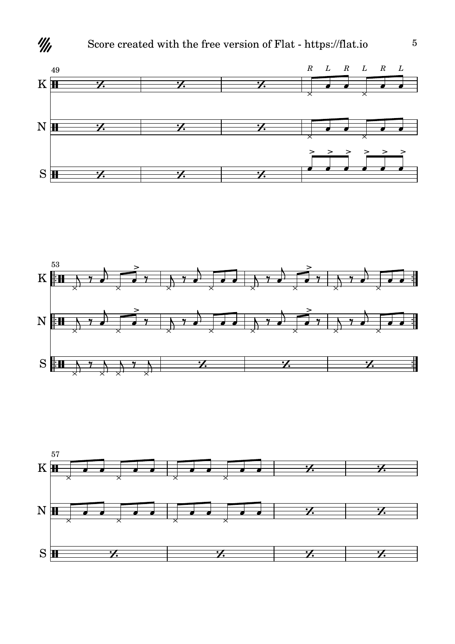$^{\prime\prime\prime}$ 





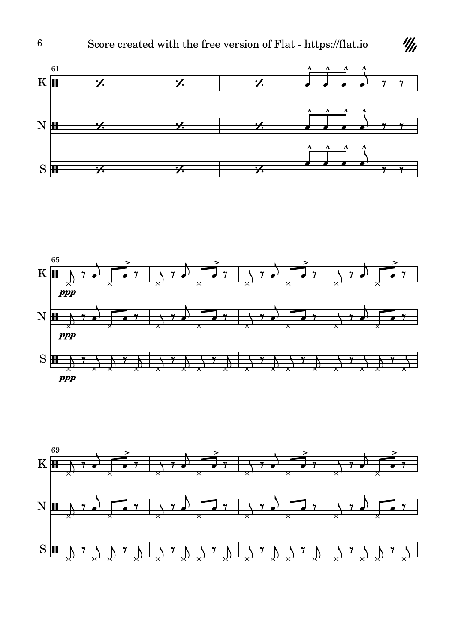



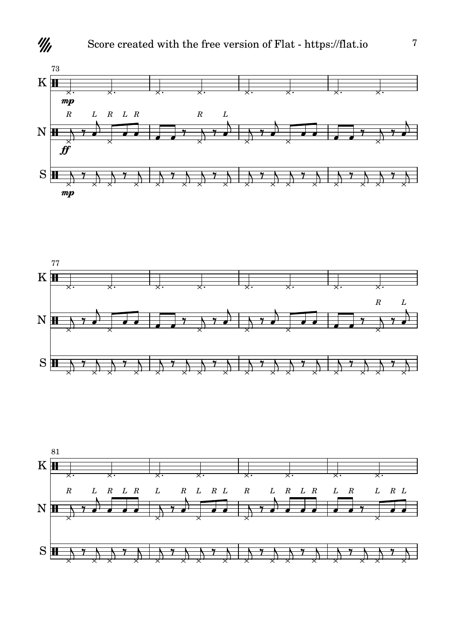



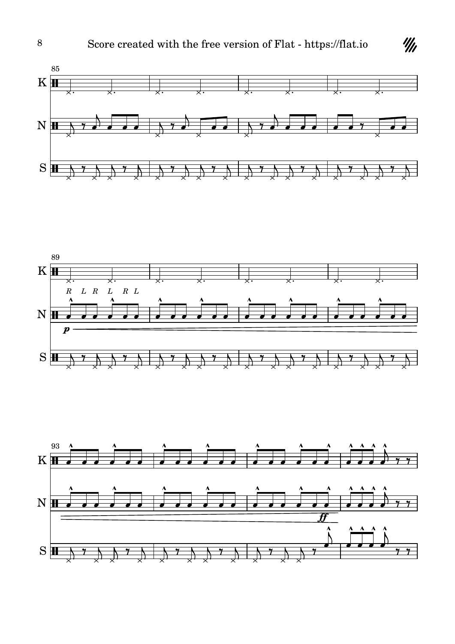



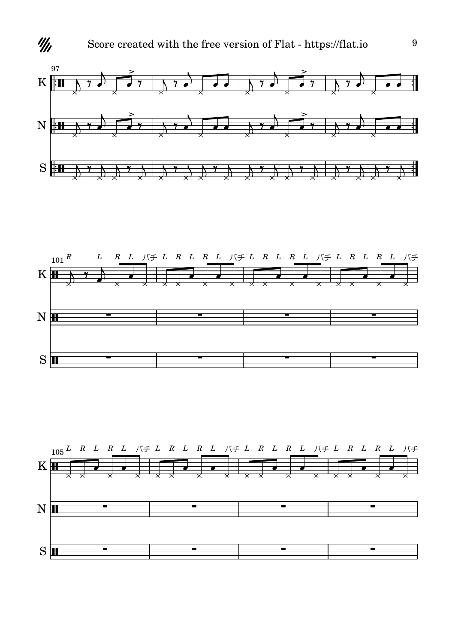$^{\prime\prime\prime}$ 





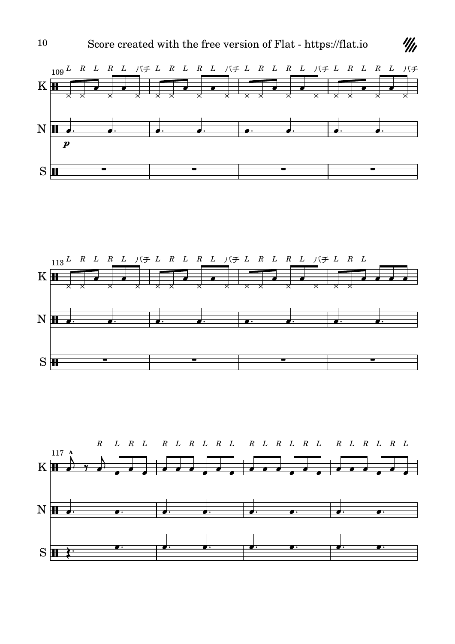



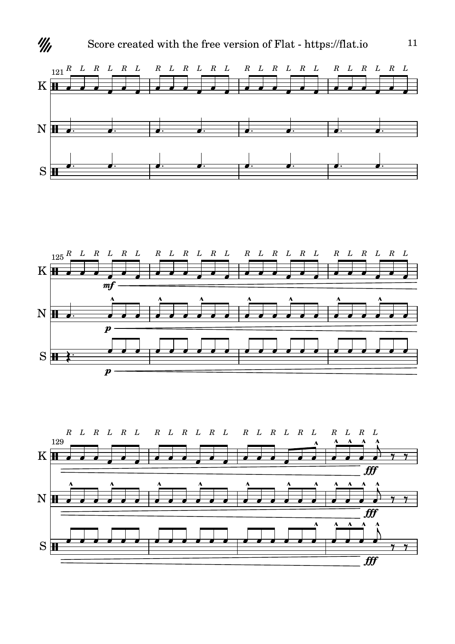